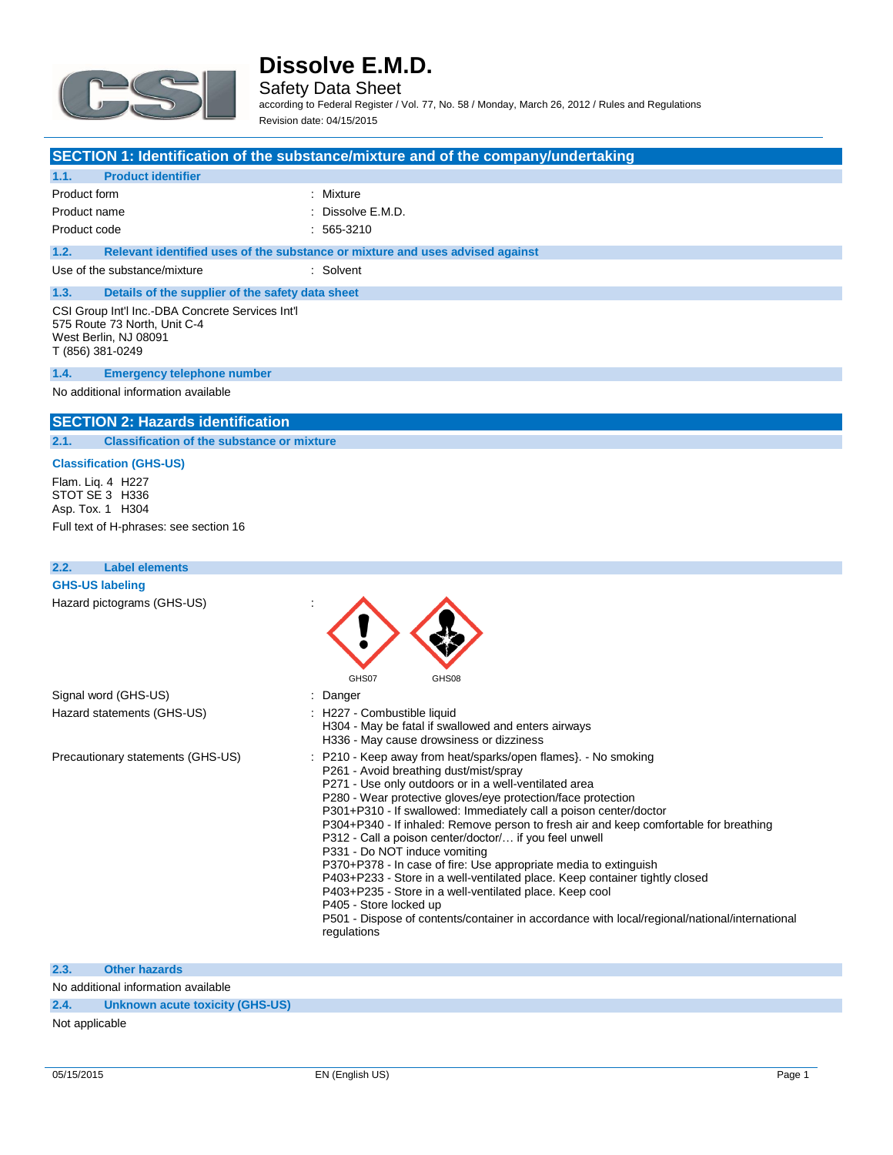

Safety Data Sheet according to Federal Register / Vol. 77, No. 58 / Monday, March 26, 2012 / Rules and Regulations Revision date: 04/15/2015

### **SECTION 1: Identification of the substance/mixture and of the company/undertaking**

| <b>Product identifier</b><br>1.1.                                                                                             |                                                                               |  |
|-------------------------------------------------------------------------------------------------------------------------------|-------------------------------------------------------------------------------|--|
| Product form                                                                                                                  | : Mixture                                                                     |  |
| Product name                                                                                                                  | $\therefore$ Dissolve E.M.D.                                                  |  |
| Product code                                                                                                                  | $: 565-3210$                                                                  |  |
| 1.2.                                                                                                                          | Relevant identified uses of the substance or mixture and uses advised against |  |
| Use of the substance/mixture                                                                                                  | : Solvent                                                                     |  |
| 1.3.<br>Details of the supplier of the safety data sheet                                                                      |                                                                               |  |
| CSI Group Int'l Inc.-DBA Concrete Services Int'l<br>575 Route 73 North, Unit C-4<br>West Berlin, NJ 08091<br>T (856) 381-0249 |                                                                               |  |
| <b>Emergency telephone number</b><br>1.4.                                                                                     |                                                                               |  |
| No additional information available                                                                                           |                                                                               |  |

### **SECTION 2: Hazards identification**

**2.1. Classification of the substance or mixture**

### **Classification (GHS-US)**

Flam. Liq. 4 H227 STOT SE 3 H336 Asp. Tox. 1 H304

Full text of H-phrases: see section 16

| 2.2. | <b>Label elements</b>             |                                                                                                                                                                                                                                                                                                                                                                                                                                                                                                                                                                                                                                                                                                                                                                                                                                                    |
|------|-----------------------------------|----------------------------------------------------------------------------------------------------------------------------------------------------------------------------------------------------------------------------------------------------------------------------------------------------------------------------------------------------------------------------------------------------------------------------------------------------------------------------------------------------------------------------------------------------------------------------------------------------------------------------------------------------------------------------------------------------------------------------------------------------------------------------------------------------------------------------------------------------|
|      | <b>GHS-US labeling</b>            |                                                                                                                                                                                                                                                                                                                                                                                                                                                                                                                                                                                                                                                                                                                                                                                                                                                    |
|      | Hazard pictograms (GHS-US)        | GHS07<br>GHS08                                                                                                                                                                                                                                                                                                                                                                                                                                                                                                                                                                                                                                                                                                                                                                                                                                     |
|      | Signal word (GHS-US)              | : Danger                                                                                                                                                                                                                                                                                                                                                                                                                                                                                                                                                                                                                                                                                                                                                                                                                                           |
|      | Hazard statements (GHS-US)        | : H227 - Combustible liquid<br>H304 - May be fatal if swallowed and enters airways<br>H336 - May cause drowsiness or dizziness                                                                                                                                                                                                                                                                                                                                                                                                                                                                                                                                                                                                                                                                                                                     |
|      | Precautionary statements (GHS-US) | : P210 - Keep away from heat/sparks/open flames}. - No smoking<br>P261 - Avoid breathing dust/mist/spray<br>P271 - Use only outdoors or in a well-ventilated area<br>P280 - Wear protective gloves/eye protection/face protection<br>P301+P310 - If swallowed: Immediately call a poison center/doctor<br>P304+P340 - If inhaled: Remove person to fresh air and keep comfortable for breathing<br>P312 - Call a poison center/doctor/ if you feel unwell<br>P331 - Do NOT induce vomiting<br>P370+P378 - In case of fire: Use appropriate media to extinguish<br>P403+P233 - Store in a well-ventilated place. Keep container tightly closed<br>P403+P235 - Store in a well-ventilated place. Keep cool<br>P405 - Store locked up<br>P501 - Dispose of contents/container in accordance with local/regional/national/international<br>regulations |

### **2.3. Other hazards**

No additional information available

**2.4. Unknown acute toxicity (GHS-US)**

Not applicable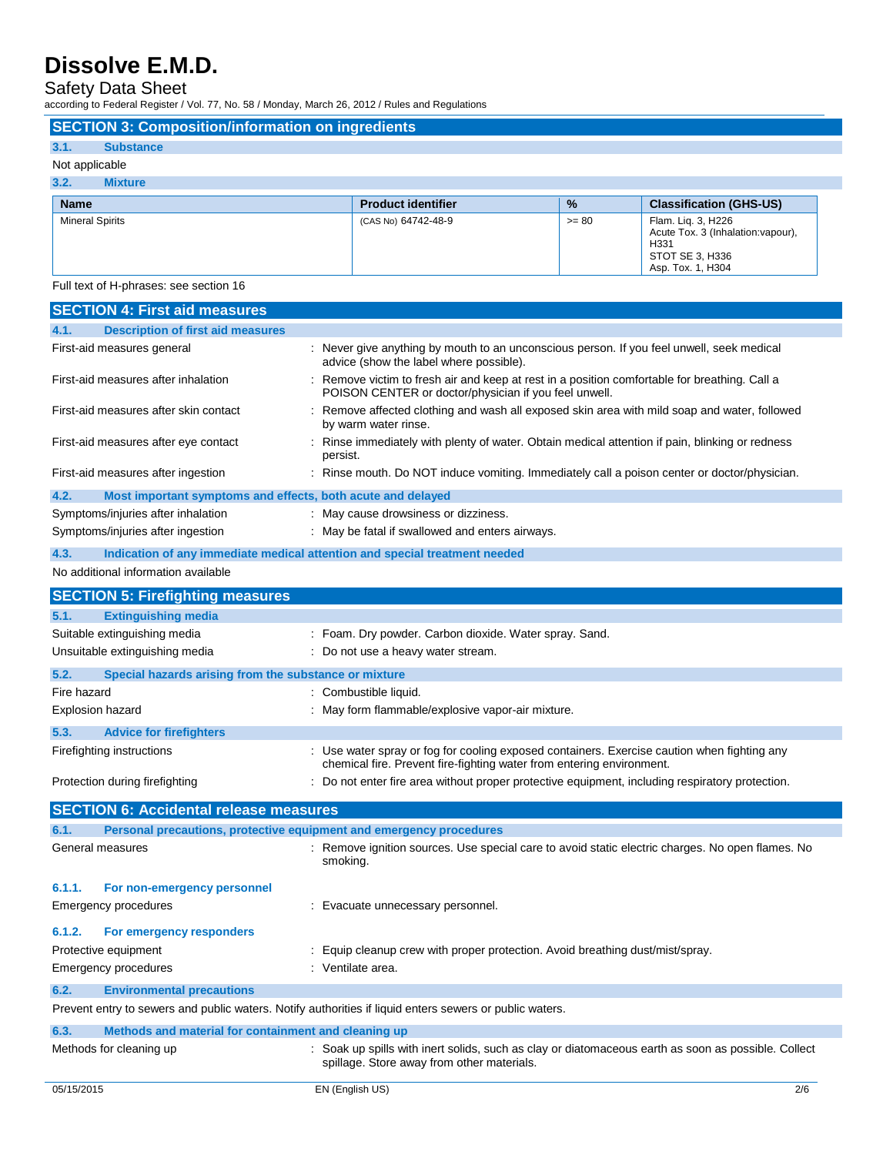Safety Data Sheet

according to Federal Register / Vol. 77, No. 58 / Monday, March 26, 2012 / Rules and Regulations

|                        | <b>SECTION 3: Composition/information on ingredients</b> |                           |               |                                |
|------------------------|----------------------------------------------------------|---------------------------|---------------|--------------------------------|
| 3.1.                   | <b>Substance</b>                                         |                           |               |                                |
|                        | Not applicable                                           |                           |               |                                |
| 3.2.                   | <b>Mixture</b>                                           |                           |               |                                |
| <b>Name</b>            |                                                          | <b>Product identifier</b> | $\frac{9}{6}$ | <b>Classification (GHS-US)</b> |
| <b>Mineral Spirits</b> |                                                          |                           |               |                                |

Full text of H-phrases: see section 16

| <b>SECTION 4: First aid measures</b>                                                                    |                                                                                                                                                      |
|---------------------------------------------------------------------------------------------------------|------------------------------------------------------------------------------------------------------------------------------------------------------|
| <b>Description of first aid measures</b><br>4.1.                                                        |                                                                                                                                                      |
| First-aid measures general                                                                              | : Never give anything by mouth to an unconscious person. If you feel unwell, seek medical<br>advice (show the label where possible).                 |
| First-aid measures after inhalation                                                                     | Remove victim to fresh air and keep at rest in a position comfortable for breathing. Call a<br>POISON CENTER or doctor/physician if you feel unwell. |
| First-aid measures after skin contact                                                                   | : Remove affected clothing and wash all exposed skin area with mild soap and water, followed<br>by warm water rinse.                                 |
| First-aid measures after eye contact                                                                    | : Rinse immediately with plenty of water. Obtain medical attention if pain, blinking or redness<br>persist.                                          |
| First-aid measures after ingestion                                                                      | : Rinse mouth. Do NOT induce vomiting. Immediately call a poison center or doctor/physician.                                                         |
| 4.2.<br>Most important symptoms and effects, both acute and delayed                                     |                                                                                                                                                      |
| Symptoms/injuries after inhalation                                                                      | : May cause drowsiness or dizziness.                                                                                                                 |
| Symptoms/injuries after ingestion                                                                       | : May be fatal if swallowed and enters airways.                                                                                                      |
| 4.3.<br>Indication of any immediate medical attention and special treatment needed                      |                                                                                                                                                      |
| No additional information available                                                                     |                                                                                                                                                      |
| <b>SECTION 5: Firefighting measures</b>                                                                 |                                                                                                                                                      |
| <b>Extinguishing media</b><br>5.1.                                                                      |                                                                                                                                                      |
| Suitable extinguishing media                                                                            | : Foam. Dry powder. Carbon dioxide. Water spray. Sand.                                                                                               |
| Unsuitable extinguishing media                                                                          | : Do not use a heavy water stream.                                                                                                                   |
| 5.2.<br>Special hazards arising from the substance or mixture                                           |                                                                                                                                                      |
| Fire hazard                                                                                             | : Combustible liquid.                                                                                                                                |
| <b>Explosion hazard</b>                                                                                 | : May form flammable/explosive vapor-air mixture.                                                                                                    |
| 5.3.<br><b>Advice for firefighters</b>                                                                  |                                                                                                                                                      |
| Firefighting instructions                                                                               | : Use water spray or fog for cooling exposed containers. Exercise caution when fighting any                                                          |
|                                                                                                         | chemical fire. Prevent fire-fighting water from entering environment.                                                                                |
| Protection during firefighting                                                                          | : Do not enter fire area without proper protective equipment, including respiratory protection.                                                      |
| <b>SECTION 6: Accidental release measures</b>                                                           |                                                                                                                                                      |
| 6.1.<br>Personal precautions, protective equipment and emergency procedures                             |                                                                                                                                                      |
| General measures                                                                                        | : Remove ignition sources. Use special care to avoid static electric charges. No open flames. No<br>smoking.                                         |
| 6.1.1.<br>For non-emergency personnel                                                                   |                                                                                                                                                      |
| <b>Emergency procedures</b>                                                                             | : Evacuate unnecessary personnel.                                                                                                                    |
| 6.1.2.<br>For emergency responders                                                                      |                                                                                                                                                      |
| Protective equipment                                                                                    | Equip cleanup crew with proper protection. Avoid breathing dust/mist/spray.                                                                          |
| Emergency procedures                                                                                    | : Ventilate area.                                                                                                                                    |
| <b>Environmental precautions</b><br>6.2.                                                                |                                                                                                                                                      |
| Prevent entry to sewers and public waters. Notify authorities if liquid enters sewers or public waters. |                                                                                                                                                      |
| Methods and material for containment and cleaning up<br>6.3.                                            |                                                                                                                                                      |
| Methods for cleaning up                                                                                 | : Soak up spills with inert solids, such as clay or diatomaceous earth as soon as possible. Collect<br>spillage. Store away from other materials.    |
| 05/15/2015                                                                                              | EN (English US)<br>2/6                                                                                                                               |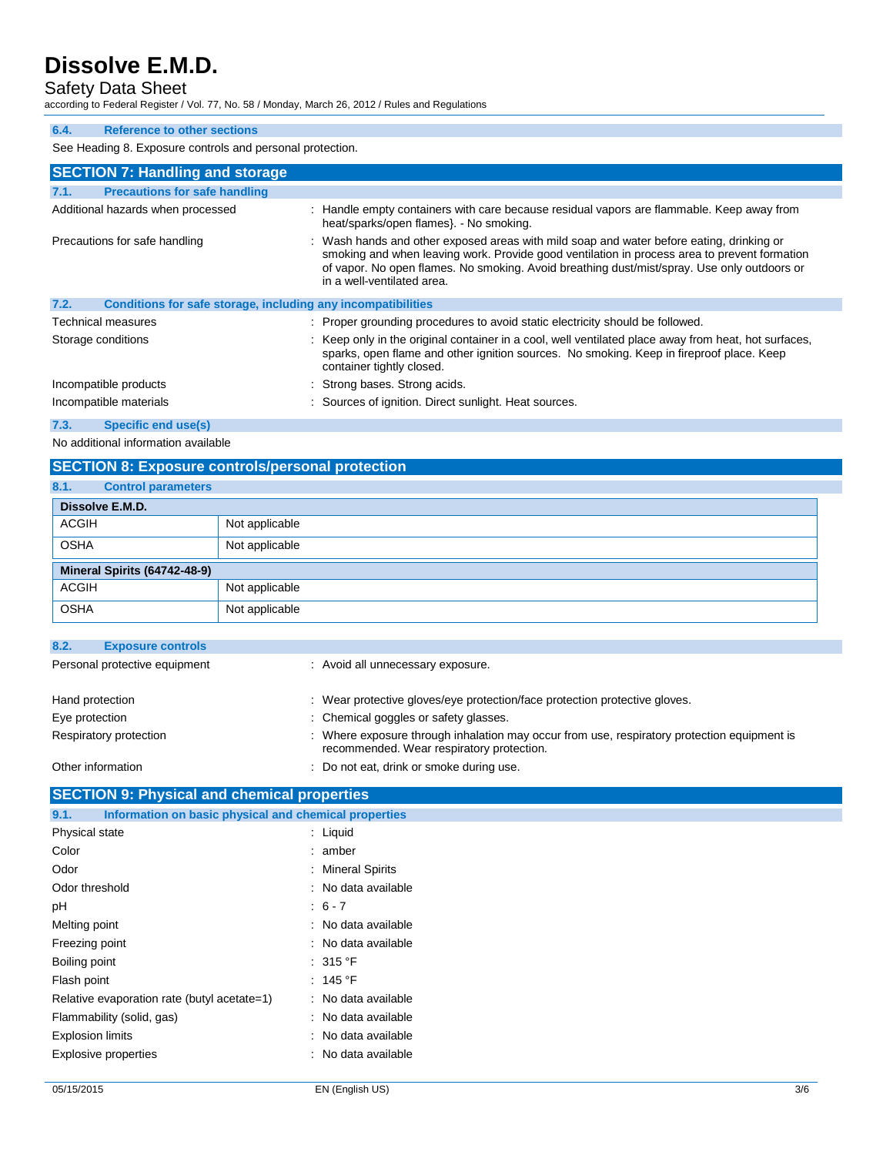# Safety Data Sheet

according to Federal Register / Vol. 77, No. 58 / Monday, March 26, 2012 / Rules and Regulations

### **6.4. Reference to other sections**

See Heading 8. Exposure controls and personal protection.

| <b>SECTION 7: Handling and storage</b>                               |                                                                                                                                                                                                                                                                                                                       |
|----------------------------------------------------------------------|-----------------------------------------------------------------------------------------------------------------------------------------------------------------------------------------------------------------------------------------------------------------------------------------------------------------------|
| 7.1.<br><b>Precautions for safe handling</b>                         |                                                                                                                                                                                                                                                                                                                       |
| Additional hazards when processed                                    | : Handle empty containers with care because residual vapors are flammable. Keep away from<br>heat/sparks/open flames}. - No smoking.                                                                                                                                                                                  |
| Precautions for safe handling                                        | : Wash hands and other exposed areas with mild soap and water before eating, drinking or<br>smoking and when leaving work. Provide good ventilation in process area to prevent formation<br>of vapor. No open flames. No smoking. Avoid breathing dust/mist/spray. Use only outdoors or<br>in a well-ventilated area. |
| 7.2.<br>Conditions for safe storage, including any incompatibilities |                                                                                                                                                                                                                                                                                                                       |
| Technical measures                                                   | : Proper grounding procedures to avoid static electricity should be followed.                                                                                                                                                                                                                                         |
| Storage conditions                                                   | : Keep only in the original container in a cool, well ventilated place away from heat, hot surfaces,<br>sparks, open flame and other ignition sources. No smoking. Keep in fireproof place. Keep<br>container tightly closed.                                                                                         |
| Incompatible products                                                | : Strong bases. Strong acids.                                                                                                                                                                                                                                                                                         |
| Incompatible materials                                               | : Sources of ignition. Direct sunlight. Heat sources.                                                                                                                                                                                                                                                                 |
| 7.3.<br>Specific end use(s)                                          |                                                                                                                                                                                                                                                                                                                       |

No additional information available

# **SECTION 8: Exposure controls/personal protection**

| 8.1.                         | <b>Control parameters</b> |                |
|------------------------------|---------------------------|----------------|
|                              | Dissolve E.M.D.           |                |
| <b>ACGIH</b>                 |                           | Not applicable |
| <b>OSHA</b>                  |                           | Not applicable |
| Mineral Spirits (64742-48-9) |                           |                |
| <b>ACGIH</b>                 |                           | Not applicable |
| <b>OSHA</b>                  |                           | Not applicable |

| 8.2.              | <b>Exposure controls</b>      |                                                                                                                                          |
|-------------------|-------------------------------|------------------------------------------------------------------------------------------------------------------------------------------|
|                   | Personal protective equipment | : Avoid all unnecessary exposure.                                                                                                        |
| Hand protection   |                               | : Wear protective gloves/eye protection/face protection protective gloves.                                                               |
| Eye protection    |                               | : Chemical goggles or safety glasses.                                                                                                    |
|                   | Respiratory protection        | : Where exposure through inhalation may occur from use, respiratory protection equipment is<br>recommended. Wear respiratory protection. |
| Other information |                               | : Do not eat, drink or smoke during use.                                                                                                 |

# **SECTION 9: Physical and chemical properties**

| Information on basic physical and chemical properties<br>9.1. |                     |
|---------------------------------------------------------------|---------------------|
| Physical state                                                | $:$ Liquid          |
| Color                                                         | : amber             |
| Odor                                                          | : Mineral Spirits   |
| Odor threshold                                                | : No data available |
| рH                                                            | $: 6 - 7$           |
| Melting point                                                 | : No data available |
| Freezing point                                                | : No data available |
| Boiling point                                                 | : 315 °F            |
| Flash point                                                   | : 145 °F            |
| Relative evaporation rate (butyl acetate=1)                   | : No data available |
| Flammability (solid, gas)                                     | : No data available |
| <b>Explosion limits</b>                                       | : No data available |
| <b>Explosive properties</b>                                   | : No data available |
|                                                               |                     |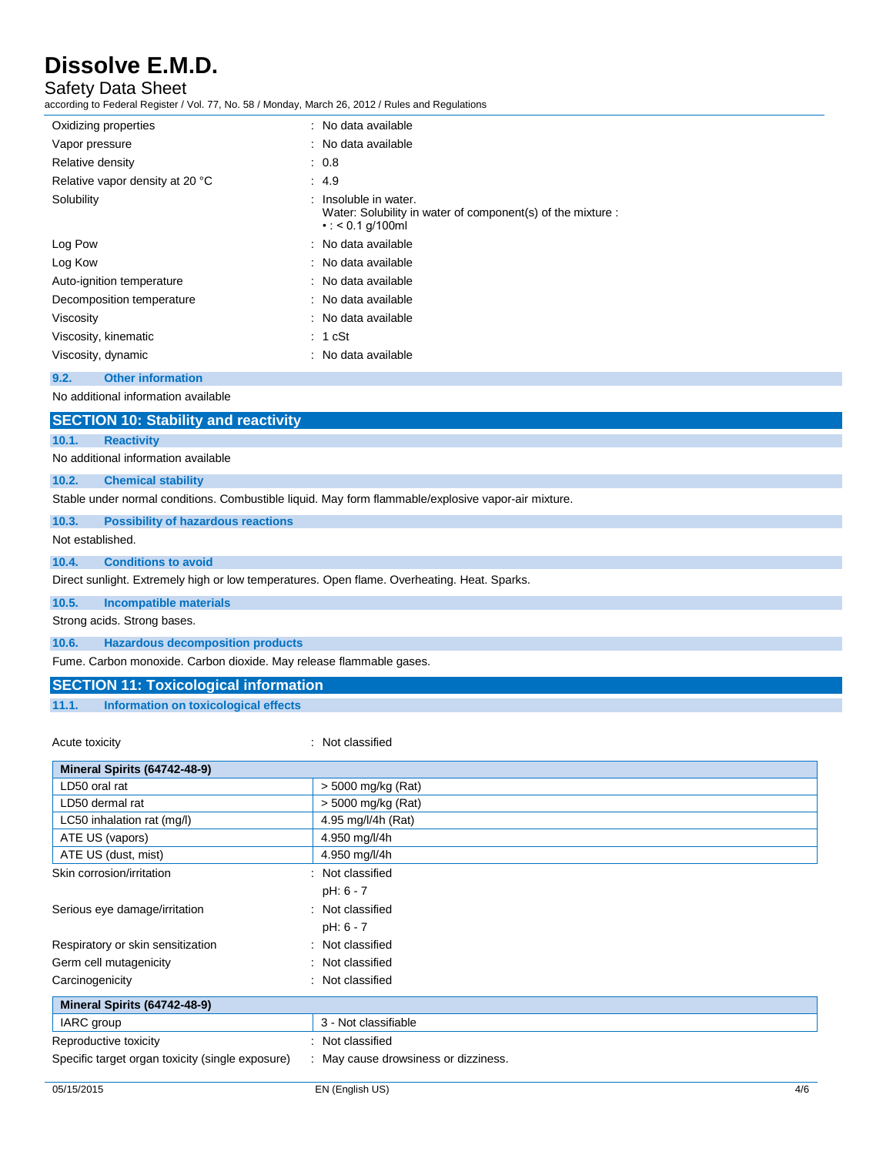# Safety Data Sheet

according to Federal Register / Vol. 77, No. 58 / Monday, March 26, 2012 / Rules and Regulations

| Oxidizing properties            | : No data available                                                                                           |
|---------------------------------|---------------------------------------------------------------------------------------------------------------|
| Vapor pressure                  | : No data available                                                                                           |
| Relative density                | : 0.8                                                                                                         |
| Relative vapor density at 20 °C | : 4.9                                                                                                         |
| Solubility                      | Insoluble in water.<br>Water: Solubility in water of component(s) of the mixture :<br>$\cdot$ : < 0.1 g/100ml |
| Log Pow                         | : No data available                                                                                           |
| Log Kow                         | : No data available                                                                                           |
| Auto-ignition temperature       | : No data available                                                                                           |
| Decomposition temperature       | : No data available                                                                                           |
| Viscosity                       | : No data available                                                                                           |
| Viscosity, kinematic            | : 1 cSt                                                                                                       |
| Viscosity, dynamic              | : No data available                                                                                           |
|                                 |                                                                                                               |

#### **9.2. Other information**

No additional information available

|                             | <b>SECTION 10: Stability and reactivity</b>                                                         |  |  |
|-----------------------------|-----------------------------------------------------------------------------------------------------|--|--|
| 10.1.                       | <b>Reactivity</b>                                                                                   |  |  |
|                             | No additional information available                                                                 |  |  |
| 10.2.                       | <b>Chemical stability</b>                                                                           |  |  |
|                             | Stable under normal conditions. Combustible liquid. May form flammable/explosive vapor-air mixture. |  |  |
| 10.3.                       | <b>Possibility of hazardous reactions</b>                                                           |  |  |
| Not established.            |                                                                                                     |  |  |
| 10.4.                       | <b>Conditions to avoid</b>                                                                          |  |  |
|                             | Direct sunlight. Extremely high or low temperatures. Open flame. Overheating. Heat. Sparks.         |  |  |
| 10.5.                       | Incompatible materials                                                                              |  |  |
| Strong acids. Strong bases. |                                                                                                     |  |  |
| 10.6.                       | <b>Hazardous decomposition products</b>                                                             |  |  |
|                             | Fume. Carbon monoxide. Carbon dioxide. May release flammable gases.                                 |  |  |

# **SECTION 11: Toxicological information**

**11.1. Information on toxicological effects**

Acute toxicity in the contract of the classified in the classified in the classified in the classified in the classified in the classified in the classified in the contract of the contract of the contract of the contract o

| Mineral Spirits (64742-48-9)                     |                                    |
|--------------------------------------------------|------------------------------------|
| LD50 oral rat                                    | > 5000 mg/kg (Rat)                 |
| LD50 dermal rat                                  | $>$ 5000 mg/kg (Rat)               |
| LC50 inhalation rat (mg/l)                       | 4.95 mg/l/4h (Rat)                 |
| ATE US (vapors)                                  | 4.950 mg/l/4h                      |
| ATE US (dust, mist)                              | 4.950 mg/l/4h                      |
| Skin corrosion/irritation                        | Not classified                     |
|                                                  | pH: 6 - 7                          |
| Serious eye damage/irritation                    | : Not classified                   |
|                                                  | pH: 6 - 7                          |
| Respiratory or skin sensitization                | : Not classified                   |
| Germ cell mutagenicity                           | Not classified                     |
| Carcinogenicity                                  | Not classified                     |
| Mineral Spirits (64742-48-9)                     |                                    |
| IARC group                                       | 3 - Not classifiable               |
| Reproductive toxicity                            | : Not classified                   |
| Specific target organ toxicity (single exposure) | May cause drowsiness or dizziness. |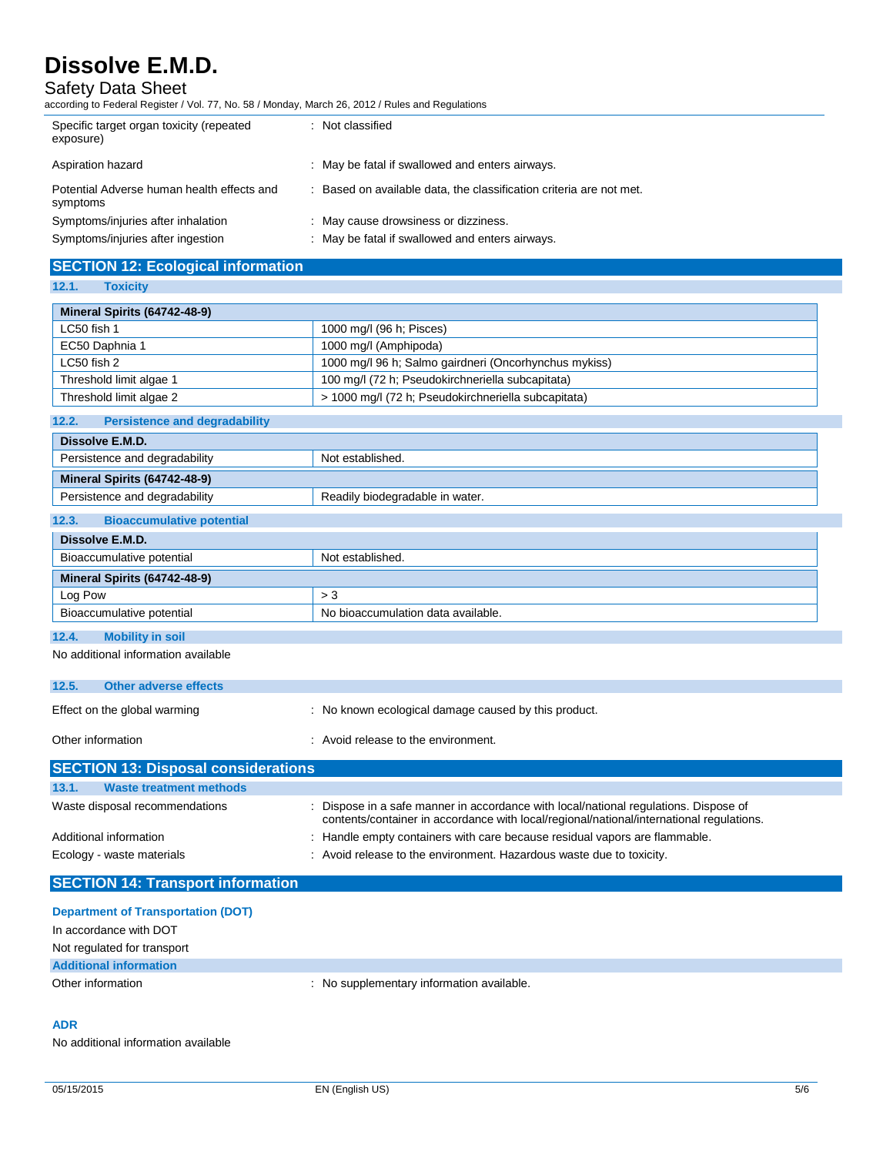Safety Data Sheet

according to Federal Register / Vol. 77, No. 58 / Monday, March 26, 2012 / Rules and Regulations

Persistence and degradability **Readily biodegradable in water.** 

| Specific target organ toxicity (repeated<br>exposure)  | : Not classified                                                  |
|--------------------------------------------------------|-------------------------------------------------------------------|
| Aspiration hazard                                      | : May be fatal if swallowed and enters airways.                   |
| Potential Adverse human health effects and<br>symptoms | Based on available data, the classification criteria are not met. |
| Symptoms/injuries after inhalation                     | : May cause drowsiness or dizziness.                              |
| Symptoms/injuries after ingestion                      | : May be fatal if swallowed and enters airways.                   |

# **SECTION 12: Ecological information**

**12.1. Toxicity**

| Mineral Spirits (64742-48-9)                      |                                                       |
|---------------------------------------------------|-------------------------------------------------------|
| LC50 fish 1<br>1000 mg/l (96 h; Pisces)           |                                                       |
| EC50 Daphnia 1                                    | 1000 mg/l (Amphipoda)                                 |
| LC50 fish 2                                       | 1000 mg/l 96 h; Salmo gairdneri (Oncorhynchus mykiss) |
| Threshold limit algae 1                           | 100 mg/l (72 h; Pseudokirchneriella subcapitata)      |
| Threshold limit algae 2                           | > 1000 mg/l (72 h; Pseudokirchneriella subcapitata)   |
| 12.2.<br><b>Persistence and degradability</b>     |                                                       |
| Dissolve E.M.D.                                   |                                                       |
| Persistence and degradability<br>Not established. |                                                       |

| 12.3. | <b>Bioaccumulative potential</b> |  |
|-------|----------------------------------|--|

**Mineral Spirits (64742-48-9)**

| $\sim$                                        |                                    |
|-----------------------------------------------|------------------------------------|
| Dissolve E.M.D.                               |                                    |
| Bioaccumulative potential<br>Not established. |                                    |
| Mineral Spirits (64742-48-9)                  |                                    |
| Log Pow                                       | > 3                                |
| Bioaccumulative potential                     | No bioaccumulation data available. |
|                                               |                                    |

# **12.4. Mobility in soil**

No additional information available

| <b>SECTION 13: Disposal considerations</b> |                                                      |
|--------------------------------------------|------------------------------------------------------|
| Other information                          | : Avoid release to the environment.                  |
| Effect on the global warming               | : No known ecological damage caused by this product. |
| 12.5.<br>Other adverse effects             |                                                      |
|                                            |                                                      |

| <u>PULUTIUM TU. DISPUSSI UUHSIUUI SINUTIS</u> |                                                                                                                                                                                  |
|-----------------------------------------------|----------------------------------------------------------------------------------------------------------------------------------------------------------------------------------|
| 13.1.<br><b>Waste treatment methods</b>       |                                                                                                                                                                                  |
| Waste disposal recommendations                | : Dispose in a safe manner in accordance with local/national regulations. Dispose of<br>contents/container in accordance with local/regional/national/international regulations. |
| Additional information                        | : Handle empty containers with care because residual vapors are flammable.                                                                                                       |
| Ecology - waste materials                     | : Avoid release to the environment. Hazardous waste due to toxicity.                                                                                                             |

# **SECTION 14: Transport information**

| <b>Department of Transportation (DOT)</b> |                                           |
|-------------------------------------------|-------------------------------------------|
| In accordance with DOT                    |                                           |
| Not regulated for transport               |                                           |
| <b>Additional information</b>             |                                           |
| Other information                         | : No supplementary information available. |

#### **ADR**

No additional information available